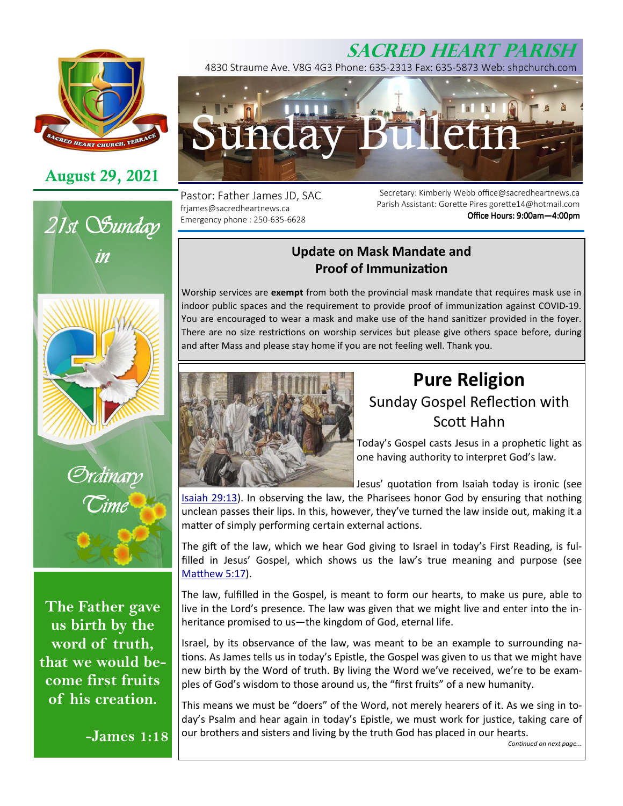

## **August 29, 2021**





*Ordinary Time* 

**The Father gave us birth by the word of truth, that we would become first fruits of his creation.** 

**-James 1:18**

# **SACRED HEART PARISH**

4830 Straume Ave. V8G 4G3 Phone: 635-2313 Fax: 635-5873 Web: shpchurch.com



Pastor: Father James JD, SAC. frjames@sacredheartnews.ca Emergency phone : 250-635-6628

Secretary: Kimberly Webb office@sacredheartnews.ca Parish Assistant: Gorette Pires gorette14@hotmail.com Office Hours: 9:00am-4:00pm

## **Update on Mask Mandate and Proof of Immunization**

Worship services are **exempt** from both the provincial mask mandate that requires mask use in indoor public spaces and the requirement to provide proof of immunization against COVID-19. You are encouraged to wear a mask and make use of the hand sanitizer provided in the foyer. There are no size restrictions on worship services but please give others space before, during and after Mass and please stay home if you are not feeling well. Thank you.



# **Pure Religion**  Sunday Gospel Reflection with Scott Hahn

Today's Gospel casts Jesus in a prophetic light as one having authority to interpret God's law.

Jesus' quotation from Isaiah today is ironic (see

Isaiah 29:13). In observing the law, the Pharisees honor God by ensuring that nothing unclean passes their lips. In this, however, they've turned the law inside out, making it a matter of simply performing certain external actions.

The gift of the law, which we hear God giving to Israel in today's First Reading, is fulfilled in Jesus' Gospel, which shows us the law's true meaning and purpose (see Matthew 5:17).

The law, fulfilled in the Gospel, is meant to form our hearts, to make us pure, able to live in the Lord's presence. The law was given that we might live and enter into the inheritance promised to us—the kingdom of God, eternal life.

Israel, by its observance of the law, was meant to be an example to surrounding na tions. As James tells us in today's Epistle, the Gospel was given to us that we might have new birth by the Word of truth. By living the Word we've received, we're to be examples of God's wisdom to those around us, the "first fruits" of a new humanity.

This means we must be "doers" of the Word, not merely hearers of it. As we sing in today's Psalm and hear again in today's Epistle, we must work for justice, taking care of our brothers and sisters and living by the truth God has placed in our hearts.

Continued on next page...